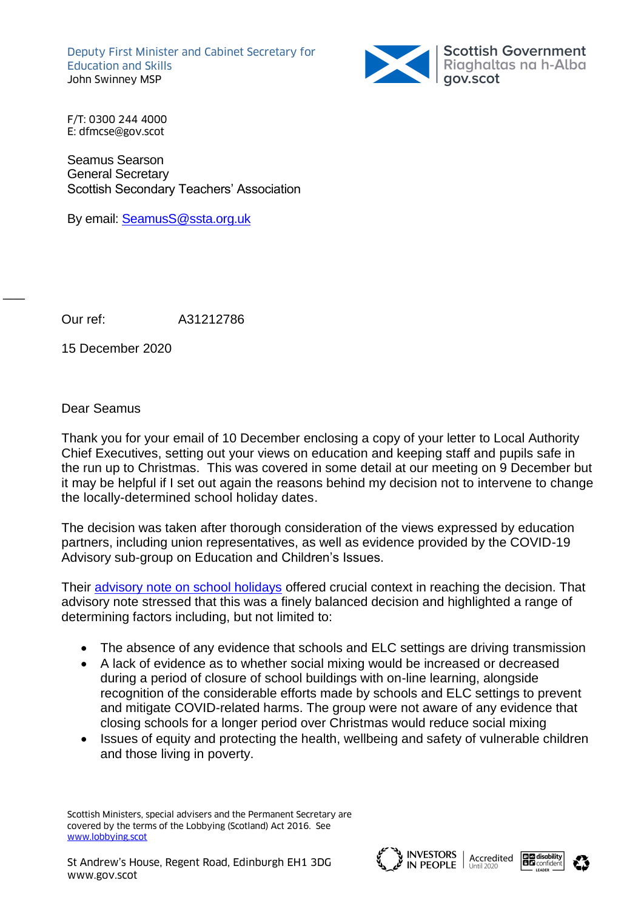Deputy First Minister and Cabinet Secretary for Education and Skills John Swinney MSP



F/T: 0300 244 4000 E: dfmcse@gov.scot

Seamus Searson General Secretary Scottish Secondary Teachers' Association

By email: [SeamusS@ssta.org.uk](mailto:SeamusS@ssta.org.uk)

Our ref: A31212786

15 December 2020

Dear Seamus

 $\overline{\phantom{a}}$ 

Thank you for your email of 10 December enclosing a copy of your letter to Local Authority Chief Executives, setting out your views on education and keeping staff and pupils safe in the run up to Christmas. This was covered in some detail at our meeting on 9 December but it may be helpful if I set out again the reasons behind my decision not to intervene to change the locally-determined school holiday dates.

The decision was taken after thorough consideration of the views expressed by education partners, including union representatives, as well as evidence provided by the COVID-19 Advisory sub-group on Education and Children's Issues.

Their [advisory note on school holidays](https://www.gov.scot/publications/coronavirus-covid-19-advisory-sub-group-on-education-and-childrens-issues---advisory-note-on-school-holidays-over-the-festive-season/) offered crucial context in reaching the decision. That advisory note stressed that this was a finely balanced decision and highlighted a range of determining factors including, but not limited to:

- The absence of any evidence that schools and ELC settings are driving transmission
- A lack of evidence as to whether social mixing would be increased or decreased during a period of closure of school buildings with on-line learning, alongside recognition of the considerable efforts made by schools and ELC settings to prevent and mitigate COVID-related harms. The group were not aware of any evidence that closing schools for a longer period over Christmas would reduce social mixing
- Issues of equity and protecting the health, wellbeing and safety of vulnerable children and those living in poverty.

Scottish Ministers, special advisers and the Permanent Secretary are covered by the terms of the Lobbying (Scotland) Act 2016. See [www.lobbying.scot](http://www.lobbying.scot/)





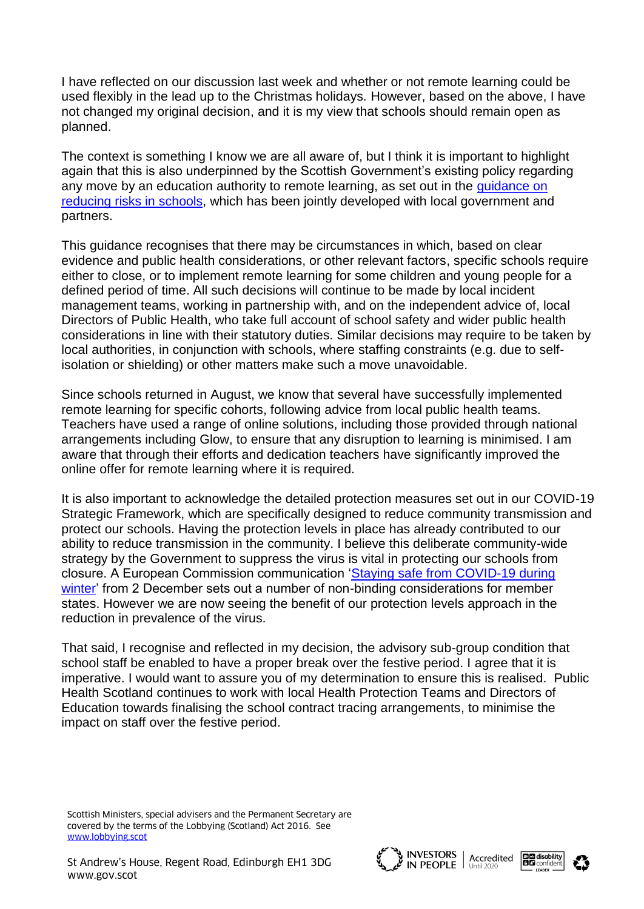I have reflected on our discussion last week and whether or not remote learning could be used flexibly in the lead up to the Christmas holidays. However, based on the above, I have not changed my original decision, and it is my view that schools should remain open as planned.

The context is something I know we are all aware of, but I think it is important to highlight again that this is also underpinned by the Scottish Government's existing policy regarding any move by an education authority to remote learning, as set out in the quidance on [reducing risks in schools,](https://www.gov.scot/publications/coronavirus-covid-19-guidance-on-reducing-the-risks-in-schools/pages/scientific-and-public-health-advice/) which has been jointly developed with local government and partners.

This guidance recognises that there may be circumstances in which, based on clear evidence and public health considerations, or other relevant factors, specific schools require either to close, or to implement remote learning for some children and young people for a defined period of time. All such decisions will continue to be made by local incident management teams, working in partnership with, and on the independent advice of, local Directors of Public Health, who take full account of school safety and wider public health considerations in line with their statutory duties. Similar decisions may require to be taken by local authorities, in conjunction with schools, where staffing constraints (e.g. due to selfisolation or shielding) or other matters make such a move unavoidable.

Since schools returned in August, we know that several have successfully implemented remote learning for specific cohorts, following advice from local public health teams. Teachers have used a range of online solutions, including those provided through national arrangements including Glow, to ensure that any disruption to learning is minimised. I am aware that through their efforts and dedication teachers have significantly improved the online offer for remote learning where it is required.

It is also important to acknowledge the detailed protection measures set out in our COVID-19 Strategic Framework, which are specifically designed to reduce community transmission and protect our schools. Having the protection levels in place has already contributed to our ability to reduce transmission in the community. I believe this deliberate community-wide strategy by the Government to suppress the virus is vital in protecting our schools from closure. A European Commission communication ['Staying safe from COVID-19 during](https://ec.europa.eu/health/sites/health/files/preparedness_response/docs/covid-19_stayingsafe_communication_en.pdf)  [winter'](https://ec.europa.eu/health/sites/health/files/preparedness_response/docs/covid-19_stayingsafe_communication_en.pdf) from 2 December sets out a number of non-binding considerations for member states. However we are now seeing the benefit of our protection levels approach in the reduction in prevalence of the virus.

That said, I recognise and reflected in my decision, the advisory sub-group condition that school staff be enabled to have a proper break over the festive period. I agree that it is imperative. I would want to assure you of my determination to ensure this is realised. Public Health Scotland continues to work with local Health Protection Teams and Directors of Education towards finalising the school contract tracing arrangements, to minimise the impact on staff over the festive period.

Scottish Ministers, special advisers and the Permanent Secretary are covered by the terms of the Lobbying (Scotland) Act 2016. See [www.lobbying.scot](http://www.lobbying.scot/)